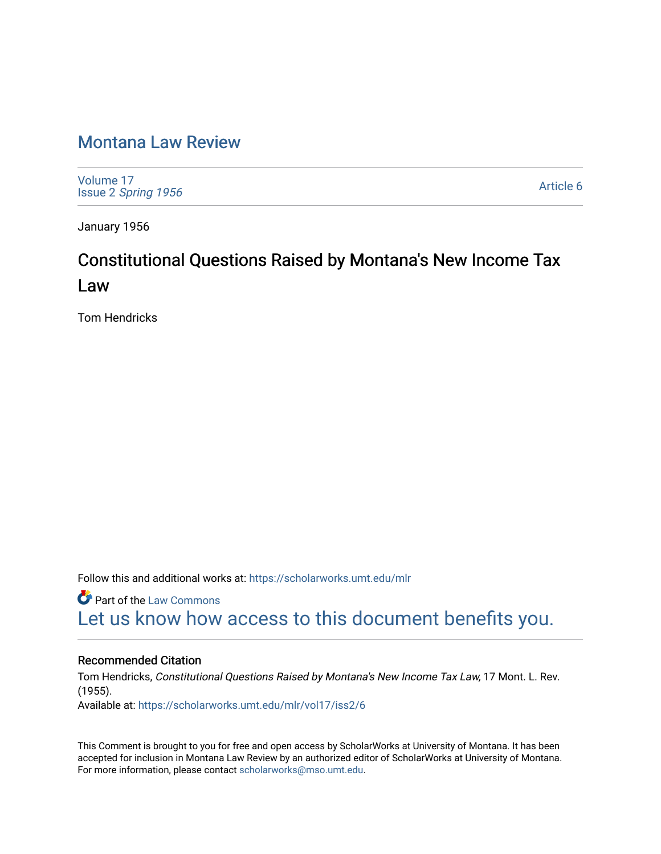## [Montana Law Review](https://scholarworks.umt.edu/mlr)

[Volume 17](https://scholarworks.umt.edu/mlr/vol17) Issue 2 [Spring 1956](https://scholarworks.umt.edu/mlr/vol17/iss2) 

[Article 6](https://scholarworks.umt.edu/mlr/vol17/iss2/6) 

January 1956

# Constitutional Questions Raised by Montana's New Income Tax Law

Tom Hendricks

Follow this and additional works at: [https://scholarworks.umt.edu/mlr](https://scholarworks.umt.edu/mlr?utm_source=scholarworks.umt.edu%2Fmlr%2Fvol17%2Fiss2%2F6&utm_medium=PDF&utm_campaign=PDFCoverPages) 

**C** Part of the [Law Commons](http://network.bepress.com/hgg/discipline/578?utm_source=scholarworks.umt.edu%2Fmlr%2Fvol17%2Fiss2%2F6&utm_medium=PDF&utm_campaign=PDFCoverPages) [Let us know how access to this document benefits you.](https://goo.gl/forms/s2rGfXOLzz71qgsB2) 

### Recommended Citation

Tom Hendricks, Constitutional Questions Raised by Montana's New Income Tax Law, 17 Mont. L. Rev. (1955). Available at: [https://scholarworks.umt.edu/mlr/vol17/iss2/6](https://scholarworks.umt.edu/mlr/vol17/iss2/6?utm_source=scholarworks.umt.edu%2Fmlr%2Fvol17%2Fiss2%2F6&utm_medium=PDF&utm_campaign=PDFCoverPages) 

This Comment is brought to you for free and open access by ScholarWorks at University of Montana. It has been accepted for inclusion in Montana Law Review by an authorized editor of ScholarWorks at University of Montana. For more information, please contact [scholarworks@mso.umt.edu.](mailto:scholarworks@mso.umt.edu)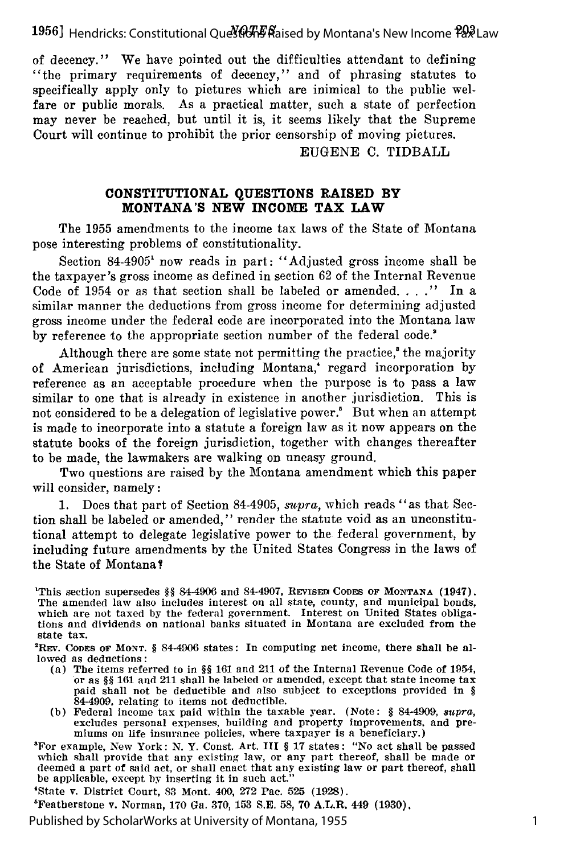**19561** *NOTESq* Hendricks: Constitutional Questions Raised by Montana's New Income Tax Law

of decency." We have pointed out the difficulties attendant to defining "the primary requirements of decency," and of phrasing statutes to specifically apply only to pictures which are inimical to the public welfare or public morals. As a practical matter, such a state of perfection may never be reached, but until it is, it seems likely that the Supreme Court will continue to prohibit the prior censorship of moving pictures.

EUGENE C. TIDBALL

#### **CONSTITUTIONAL QUESTIONS RAISED BY MONTANA'S NEW INCOME TAX LAW**

The 1955 amendments to the income tax laws of the State of Montana pose interesting problems of constitutionality.

Section 84-4905' now reads in part: "Adjusted gross income shall be the taxpayer's gross income as defined in section 62 of the Internal Revenue Code of 1954 or as that section shall be labeled or amended. . . **."** In a similar manner the deductions from gross income for determining adjusted gross income under the federal code are incorporated into the Montana law by reference to the appropriate section number of the federal code."

Although there are some state not permitting the practice,<sup>8</sup> the majority of American jurisdictions, including Montana,' regard incorporation by reference as an acceptable procedure when the purpose is to pass a law similar to one that is already in existence in another jurisdiction. This is not considered to be a delegation of legislative power.' But when an attempt is made to incorporate into a statute a foreign law as it now appears on the statute books of the foreign jurisdiction, together with changes thereafter to be made, the lawmakers are walking on uneasy ground.

Two questions are raised by the Montana amendment which this paper will consider, namely:

1. Does that part of Section 84-4905, *supra,* which reads "as that Section shall be labeled or amended," render the statute void as an unconstitutional attempt to delegate legislative power to the federal government, by including future amendments by the United States Congress in the laws of the State of Montana?

- (a) The items referred to in §§ 161 and 211 of the Internal Revenue Code of 1954, or as §§ 161 and 211 shall be labeled or amended, except that state income tax paid shall not be deductible and also subject to exceptions provided in § 84-4909, relating to items not deductible.
- (b) Federal income tax paid within the taxable year. (Note: § 84-4909, *supra,* excludes personal expenses, building and property improvements, and premiums on life insurance policies, where taxpayer is a beneficiary.)

3For example, New York: N. Y. Const. Art. III § 17 states: "No act shall be passed which shall provide that any existing law, or any part thereof, shall be made or deemed a part of said act, or shall enact that any existing law or part thereof, shall be applicable, except by inserting it in such act."

'State v. District Court, 83 Mont. 400, 272 Pac. 525 (1928).

5Featherstone v. Norman, 170 Ga. 370, **153** S.E, **58,** 70 A.L,R. 449 **(1930).**

**This section supersedes §§ 84-4906 and 84-4907, REVISED CODES OF MONTANA (1947).** The amended law also includes interest on all state, county, and municipal bonds, which are not taxed by the federal government. Interest on United States obliga-<br>tions and dividends on national banks situated in Montana are excluded from the state tax.

REv. CODES OF MONT. § 84-4906 states: In computing net income, there shall be allowed as deductions: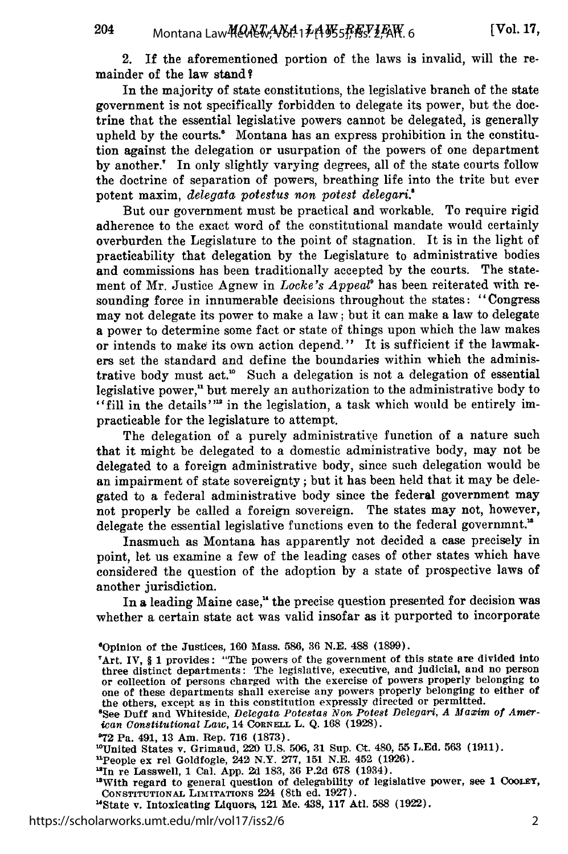204

2. **If** the aforementioned portion of the laws is invalid, will the remainder of the law stand?

In the majority of state constitutions, the legislative branch of the state government is not specifically forbidden to delegate its power, but the doctrine that the essential legislative powers cannot be delegated, is generally upheld by the courts.<sup>\*</sup> Montana has an express prohibition in the constitution against the delegation or usurpation of the powers of one department by another.! In only slightly varying degrees, all of the state courts follow the doctrine of separation of powers, breathing life into the trite but ever potent maxim, *delegata potestus non patest delegari.'*

But our government must be practical and workable. To require rigid adherence to the exact word of the constitutional mandate would certainly overburden the Legislature to the point of stagnation. It is in the light of practicability that delegation by the Legislature to administrative bodies and commissions has been traditionally accepted by the courts. The statement of Mr. Justice Agnew in *Locke's Appeal'* has been reiterated with resounding force in innumerable decisions throughout the states: "Congress may not delegate its power to make a law; but it can make a law to delegate a power to determine some fact or state of things upon which the law makes or intends to make its own action depend." It is sufficient if the lawmakers set the standard and define the boundaries within which the administrative body must act.<sup>10</sup> Such a delegation is not a delegation of essential legislative power," but merely an authorization to the administrative body to "fill in the details'" in the legislation, a task which would be entirely impracticable for the legislature to attempt.

The delegation of a purely administrative function of a nature such that it might be delegated to a domestic administrative body, may not be delegated to a foreign administrative body, since such delegation would be an impairment of state sovereignty; but it has been held that it may be delegated to a federal administrative body since the federal government may not properly be called a foreign sovereign. The states may not, however, delegate the essential legislative functions even to the federal governmnt.'

Inasmuch as Montana has apparently not decided a case precisely in point, let us examine a few of the leading cases of other states which have considered the question of the adoption by a state of prospective laws of another jurisdiction.

In a leading Maine case," the precise question presented for decision was whether a certain state act was valid insofar as it purported to incorporate

<sup>19</sup>With regard to general question of delegability of legislative power, see 1 COOLEY, CoNsTiTuTioNAL **LINrTATroNs** 224 (8th ed. 1927).

<sup>60</sup>pinion of the Justices, 160 Mass. 586, **36 N.E.** 488 **(1899).**

<sup>&#</sup>x27;Art. IV, § 1 provides: "The powers of the government of this state are divided into three distinct departments: The legislative, executive, and judicial, and no person or collection of persons charged with the exercise of powers properly belonging to one of these departments shall exercise any powers properly belonging to either of the others, except as in this constitution expressly directed or permitted.

<sup>&#</sup>x27;See Duff and Whiteside, *Delegata Potestas Non Potest Delegari, A Maxim of American Constitutional Law,* 14 CORNELL L. Q. 168 (1928).

**<sup>&#</sup>x27;72** Pa. 491, 13 Am. Rep. 716 **(1873).** <sup>1</sup> United States v. Grimaud, 220 U.S. 506, **31** Sup. **Ct.** 480, **55** L.Ed. **563 (1911).**

<sup>&</sup>quot;People ex rel Goldfogle, 242 N.Y. 277, **151** N.E. 452 (1926).

<sup>&#</sup>x27;In re Lasswell, 1 Cal. App. **2d 1&3,** 36 P.2d 678 (1934).

<sup>&#</sup>x27;State v. Intoxicating Liquors, 121 Me. 438, 117 Atl. 588 **(1922).**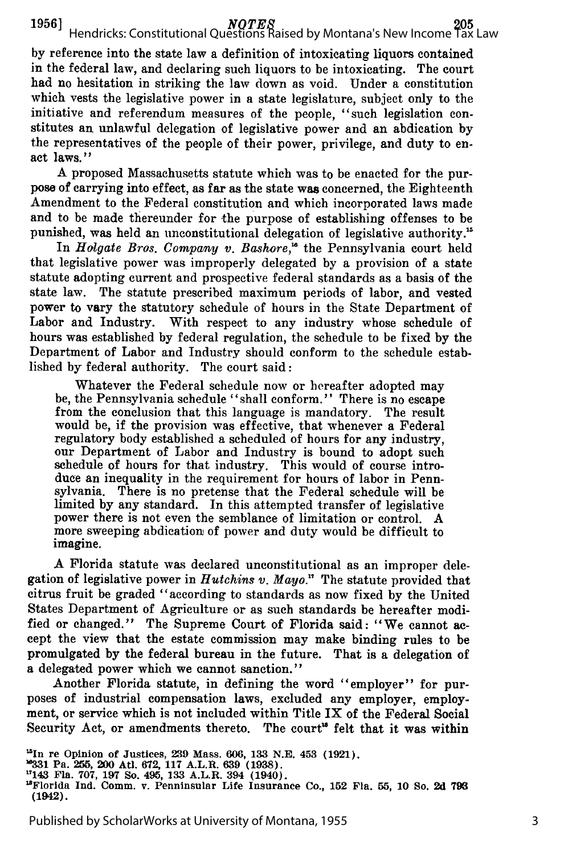**by** reference into the state law a definition of intoxicating liquors contained in the federal law, and declaring such liquors to be intoxicating. The court had no hesitation in striking the law down as void. Under a constitution which vests the legislative power in a state legislature, subject only to the initiative and referendum measures of the people, "such legislation constitutes an unlawful delegation of legislative power and an abdication by the representatives of the people of their power, privilege, and duty to enact laws."

A proposed Massachusetts statute which was to be enacted for the purpose of carrying into effect, as far as the state **was** concerned, the Eighteenth Amendment to the Federal constitution and which incorporated laws made and to be made thereunder for the purpose of establishing offenses to be punished, was held an unconstitutional delegation of legislative authority.'

In *Holgate Bros. Company v. Bashore*,<sup>16</sup> the Pennsylvania court held that legislative power was improperly delegated by a provision of a state statute adopting current and prospective federal standards as a basis of the state law. The statute prescribed maximum periods of labor, and vested power to vary the statutory schedule of hours in the State Department of Labor and Industry. With respect to any industry whose schedule of hours was established by federal regulation, the schedule to be fixed by the Department of Labor and Industry should conform to the schedule established by federal authority. The court said:

Whatever the Federal schedule now or hereafter adopted may be, the Pennsylvania schedule "shall conform." There is no escape from the conclusion that this language is mandatory. The result would be, if the provision was effective, that whenever a Federal regulatory body established a scheduled of hours for any industry, our Department of Labor and Industry is bound to adopt such schedule of hours for that industry. This would of course introduce an inequality in the requirement for hours of labor in Pennsylvania. There is no pretense that the Federal schedule will be limited by any standard. In this attempted transfer of legislative power there is not even the semblance of limitation or control. A more sweeping abdication of power and duty would be difficult to imagine.

A Florida statute was declared unconstitutional as an improper delegation of legislative power in *Hutchins v. Mayo."* The statute provided that citrus fruit be graded "according to standards as now fixed by the United States Department of Agriculture or as such standards be hereafter modified or changed." The Supreme Court of Florida said: "We cannot accept the view that the estate commission may make binding rules to be promulgated by the federal bureau in the future. That is a delegation of a delegated power which we cannot sanction."

Another Florida statute, in defining the word "employer" for purposes of industrial compensation laws, excluded any employer, employment, or service which is not included within Title IX of the Federal Social Security Act, or amendments thereto. The court<sup>16</sup> felt that it was within

**1In re Opinion of Justices, 239 Mass. 606, 133 N.E. 453 (1921).**<br>**"331 Pa. 255, 200 Atl. 672, 117 A.L.R. 639 (1938).**<br><sup>14</sup>143 Fla. 707, 197 So. 495, 133 A.L.R. 394 (1940).

<sup>&#</sup>x27;Florida Ind. Comm. v. Penninsular Life Insurance Co., **152** Fla. **55, 10 So. 2d <sup>796</sup> (1942).**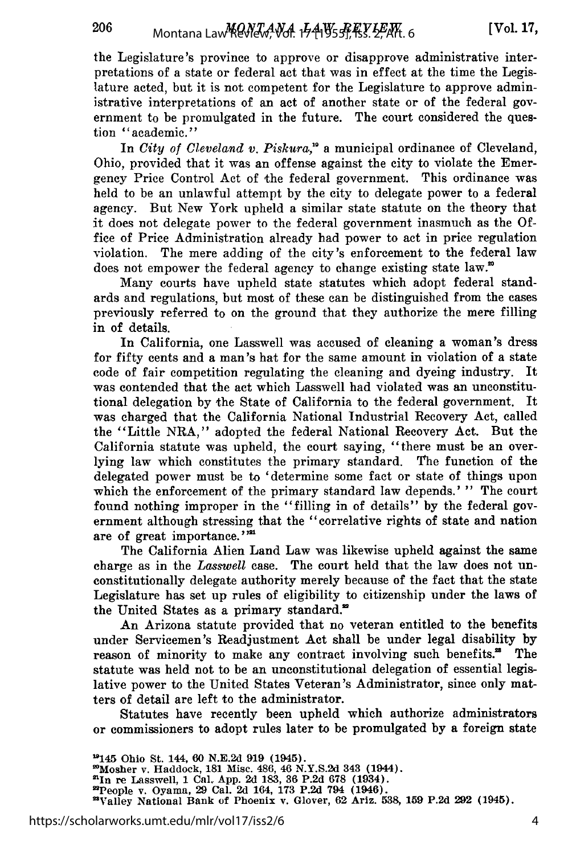206

the Legislature's province to approve or disapprove administrative interpretations of a state or federal act that was in effect at the time the Legislature acted, but it is not competent for the Legislature to approve administrative interpretations of an act of another state or of the federal government to be promulgated in the future. The court considered the question "academic."

In *City of Cleveland v. Piskura*,<sup>10</sup> a municipal ordinance of Cleveland, Ohio, provided that it was an offense against the city to violate the Emergency Price Control Act of the federal government. This ordinance was held to be an unlawful attempt by the city to delegate power to a federal agency. But New York upheld a similar state statute on the theory that it does not delegate power to the federal government inasmuch as the Office of Price Administration already had power to act in price regulation violation. The mere adding of the city's enforcement to the federal law does not empower the federal agency to change existing state law.<sup>20</sup>

Many courts have upheld state statutes which adopt federal standards and regulations, but most of these can be distinguished from the cases previously referred to on the ground that they authorize the mere filling in of details.

In California, one Lasswell was accused of cleaning a woman's dress for fifty cents and a man's hat for the same amount in violation of a state code of fair competition regulating the cleaning and dyeing industry. It was contended that the act which Lasswell had violated was an unconstitutional delegation by the State of California to the federal government. It was charged that the California National Industrial Recovery Act, called the "Little NRA," adopted the federal National Recovery Act. But the California statute was upheld, the court saying, "there must be an overlying law which constitutes the primary standard. The function of the delegated power must be to 'determine some fact or state of things upon which the enforcement of the primary standard law depends.' " The court found nothing improper in the "filling in of details" by the federal government although stressing that the "correlative rights of state and nation are of great importance.""

The California Alien Land Law was likewise upheld against the same charge as in the *Lasswell* case. The court held that the law does not unconstitutionally delegate authority merely because of the fact that the state Legislature has set up rules of eligibility to citizenship under the laws of the United States as a primary standard."

An Arizona statute provided that no veteran entitled to the benefits under Servicemen's Readjustment Act shall be under legal disability by reason of minority to make any contract involving such benefits.<sup>28</sup> The statute was held not to be an unconstitutional delegation of essential legislative power to the United States Veteran's Administrator, since only matters of detail are left to the administrator.

Statutes have recently been upheld which authorize administrators or commissioners to adopt rules later to be promulgated by a foreign state

**'p145 Ohio** St. 144, **60 N.E.2d 919** (1945). 'Mosher v. Haddock, **181** Misc. 486, 46 **N.Y.S.2d** 343 (1944). 'In **re** Lasswell, **1** Cal. **App. 2d 183, 36 P.2d 678** (1934). 'People v. Oyama, **29** Cal. **2d** 164, **173 P.2d** 794 (1946). "Valley National Bank **of** Phoenix v. Glover, **62** Ariz. **538, 159 P.2d 292** (1945).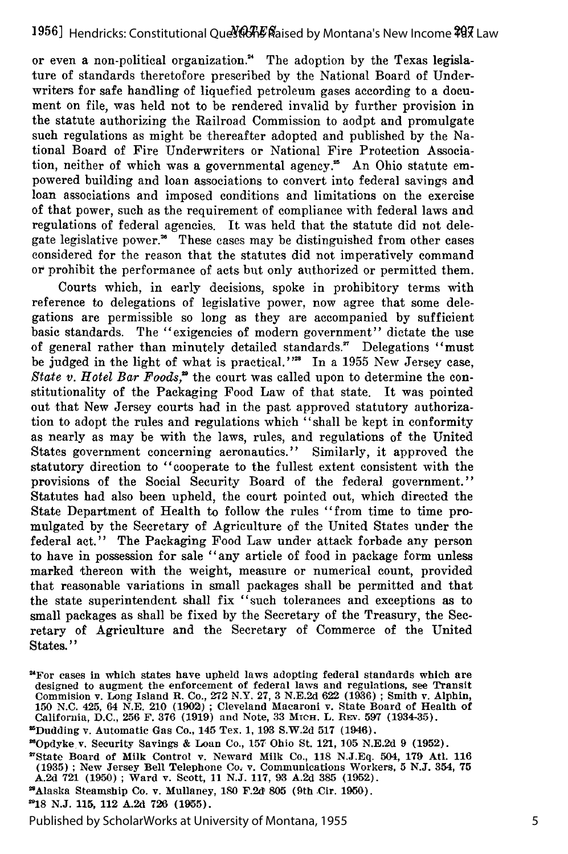or even a non-political organization?' The adoption by the Texas legislature of standards theretofore prescribed by the National Board of Underwriters for safe handling of liquefied petroleum gases according to a document on file, was held not to be rendered invalid by further provision in the statute authorizing the Railroad Commission to aodpt and promulgate such regulations as might be thereafter adopted and published by the National Board of Fire Underwriters or National Fire Protection Association, neither of which was a governmental agency.<sup>25</sup> An Ohio statute empowered building and loan associations to convert into federal savings and loan associations and imposed conditions and limitations on the exercise of that power, such as the requirement of compliance with federal laws and regulations of federal agencies. It was held that the statute did not delegate legislative power." These cases may be distinguished from other cases considered for the reason that the statutes did not imperatively command or prohibit the performance of acts but only authorized or permitted them.

Courts which, in early decisions, spoke in prohibitory terms with reference to delegations of legislative power, now agree that some delegations are permissible so long as they are accompanied by sufficient basic standards. The "exigencies of modern government" dictate the use of general rather than minutely detailed standards." Delegations "must be judged in the light of what is practical."<sup>22</sup> In a 1955 New Jersey case, *State v. Hotel Bar Foods,"* the court was called upon to determine the constitutionality of the Packaging Food Law of that state. It was pointed out that New Jersey courts had in the past approved statutory authorization to adopt the rules and regulations which "shall be kept in conformity as nearly as may be with the laws, rules, and regulations of the United States government concerning aeronautics." Similarly, it approved the statutory direction to "cooperate to the fullest extent consistent with the provisions of the Social Security Board of the federal government." Statutes had also been upheld, the court pointed out, which directed the State Department of Health to follow the rules "from time to time promulgated by the Secretary of Agriculture of the United States under the federal act." The Packaging Food Law under attack forbade any person to have in possession for sale "any article of food in package form unless marked thereon with the weight, measure or numerical count, provided that reasonable variations in small packages shall be permitted and that the state superintendent shall fix "such tolerances and exceptions as to small packages as shall be fixed by the Secretary of the Treasury, the Secretary of Agriculture and the Secretary of Commerce of the United States."

<sup>&</sup>quot;For **cases** in **which** states **have** upheld **laws** adopting **federal** standards **which are** designed to augment the enforcement of federal laws and regulations, see Transit Commision v. Long Island R. Co., **272** N.Y. **27, 3 N.E.2d 622 (1936) ;** Smith v. Alphin, **150 N.C.** 425, 64 **N.E.** 210 **(1902) ;** Cleveland Macaroni v. State Board of Health of California, **D.C., 256** F. **376 (1919)** and Note, **33 MieH.** L. REv. **597 (1934-35).**

Dudding v. Automatic Gas Co., 145 Tex. **1, 193 S.W.2d 517** (1946).

<sup>&</sup>quot;Opdyke v. Security Savings **&** Loan Co., **157** Ohio St. 121, **105 N.E.2d 9 (1952).**

<sup>&#</sup>x27;State Board of Milk Control v. Neward Milk Co., **118 N.J.Eq.** 504, **179** Atl. **116 (1935) ;** New Jersey Bell Telephone Co4 v. Communications Workers, **5 N.J.** 354, **75 A.2d 721 (1950) ;** Ward v. Scott, **11 N.J. 117, 93 A.2d 385 (1952).**

<sup>&#</sup>x27;Alaska Steamship Co. v. Mullaney, **180 F.2d 805** (9th Cir. 1950).

**<sup>2918</sup> N.J. 115, 112 A.2d 726 (1955).**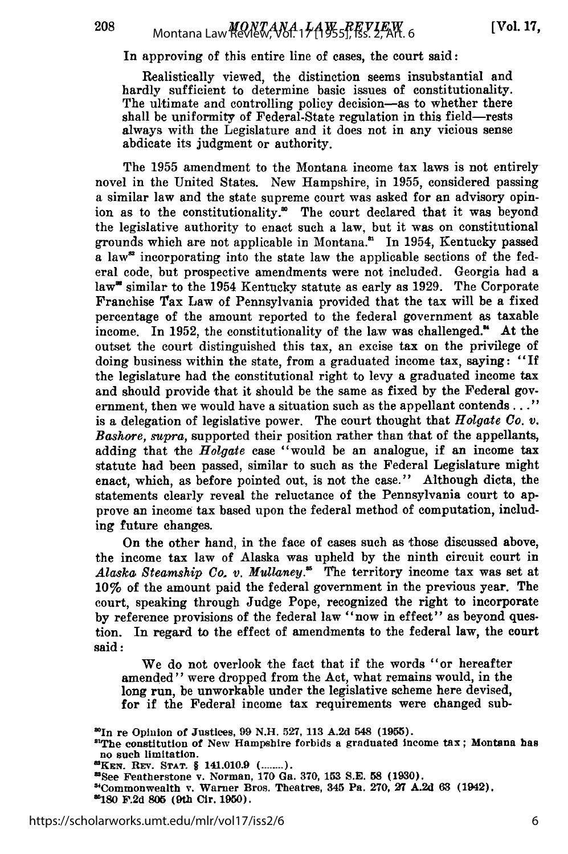In approving of this entire line of cases, the court said:

Realistically viewed, the distinction seems insubstantial and hardly sufficient to determine basic issues of constitutionality. The ultimate and controlling policy decision-as to whether there shall be uniformity of Federal-State regulation in this field-rests always with the Legislature and it does not in any vicious sense abdicate its judgment or authority.

The 1955 amendment to the Montana income tax laws is not entirely novel in the United States. New Hampshire, in 1955, considered passing a similar law and the state supreme court was asked for an advisory opinion as to the constitutionality.<sup>30</sup> The court declared that it was beyond the legislative authority to enact such a law, but it was on constitutional grounds which are not applicable in Montana.' In 1954, Kentucky passed a law<sup>\*</sup> incorporating into the state law the applicable sections of the federal code, but prospective amendments were not included. Georgia had a law<sup>"</sup> similar to the 1954 Kentucky statute as early as 1929. The Corporate Franchise **Tax** Law of Pennsylvania provided that the tax will be a fixed percentage of the amount reported to the federal government as taxable income. In 1952, the constitutionality of the law was challenged." At the outset the court distinguished this tax, an excise tax on the privilege of doing business within the state, from a graduated income tax, saying: "If the legislature had the constitutional right to levy a graduated income tax and should provide that it should be the same as fixed by the Federal government, then we would have a situation such as the appellant contends..." is a delegation of legislative power. The court thought that *Holgate Co. v. Bashore, supra,* supported their position rather than that of the appellants, adding that the *Holgate* case "would be an analogue, if an income tax statute had been passed, similar to such as the Federal Legislature might enact, which, as before pointed out, is not the case." Although dicta, the statements clearly reveal the reluctance of the Pennsylvania court to approve an income tax based upon the federal method of computation, including future changes.

On the other hand, in the face of cases such as those discussed above, the income tax law of Alaska was upheld by the ninth circuit court in Alaska Steamship Co. v. Mullaney.<sup>35</sup> The territory income tax was set at 10% of the amount paid the federal government in the previous year. The court, speaking through Judge Pope, recognized the right to incorporate by reference provisions of the federal law "now in effect" as beyond question. In regard to the effect of amendments to the federal law, the court said:

We do not overlook the fact that if the words "or hereafter amended" were dropped from the Act, what remains would, in the long run, be unworkable under the legislative scheme here devised, for if the Federal income tax requirements were changed sub-

<sup>&#</sup>x27;In re Opinion of Justices, **99 N.H. 527, 113 A.2d** 548 **(1955).**

<sup>&#</sup>x27;The constitution of New Hampshire forbids a graduated income tax; Montana has no such limitation.

**<sup>&#</sup>x27;KEN.** REV. STAT. **§** 141.010.9 ( **........** mee Featherstone v. Norman, **170** Ga. **370, 153 S.E. 58 (1930).**

<sup>&</sup>quot;Commonwealth v. Warner Bros. Theatres, **345** Pa. **270, 27 A.2d 63** (1942). **1180 F.2d 806** (9th **Cir. 1950).**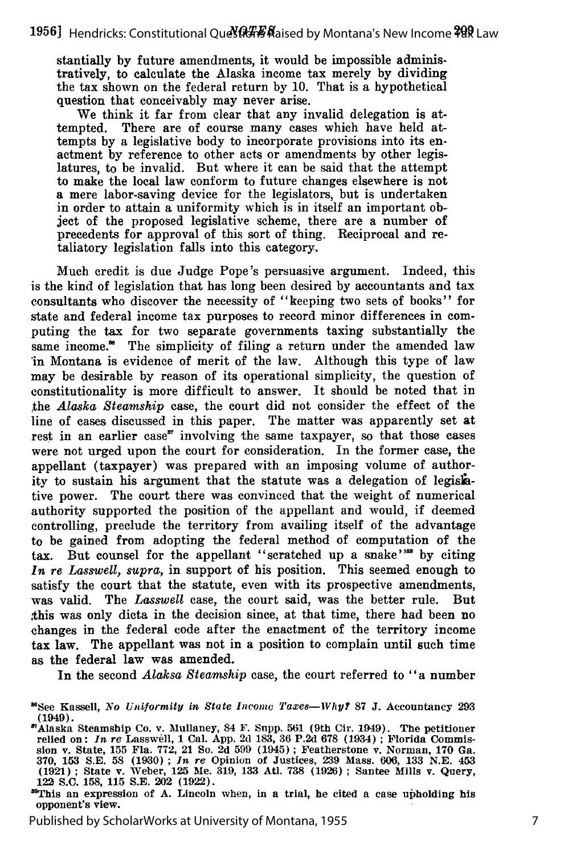stantially **by** future amendments, it would be impossible administratively, to calculate the Alaska income tax merely by dividing the tax shown on the federal return by 10. That is a hypothetical question that conceivably may never arise.

We think it far from clear that any invalid delegation is attempted. There are of course many cases which have held attempts by a legislative body to incorporate provisions into its enactment by reference to other acts or amendments by other legislatures, to be invalid. But where it can be said that the attempt to make the local law conform to future changes elsewhere is not a mere labor-saving device for the legislators, but is undertaken in order to attain a uniformity which is in itself an important object of the proposed legislative scheme, there are a number of precedents for approval of this sort of thing. Reciprocal and retaliatory legislation falls into this category.

Much credit is due Judge Pope's persuasive argument. Indeed, this is the kind of legislation that has long been desired by accountants and tax consultants who discover the necessity of "keeping two sets of books" for state and federal income tax purposes to record minor differences in computing the tax for two separate governments taxing substantially the same income." The simplicity of filing a return under the amended law in Montana is evidence of merit of the law. Although this type of law may be desirable by reason of its operational simplicity, the question of constitutionality is more difficult to answer. It should be noted that in the *Alaska Steamship* case, the court did not consider the effect of the line of cases discussed in this paper. The matter was apparently set at rest in an earlier case" involving the same taxpayer, so that those cases were not urged upon the court for consideration. In the former case, the appellant (taxpayer) was prepared with an imposing volume of authority to sustain his argument that the statute was a delegation of legislative power. The court there was convinced that the weight of numerical authority supported the position of the appellant and would, if deemed controlling, preclude the territory from availing itself of the advantage to be gained from adopting the federal method of computation of the tax. But counsel for the appellant "scratched up a snake"<sup>388</sup> by citing *In re Lasswell, supra,* in support of his position. This seemed enough to satisfy the court that the statute, even with its prospective amendments, was valid. The *Lasswell* case, the court said, was the better rule. But ,this was only dicta in the decision since, at that time, there had been no changes in the federal code after the enactment of the territory income tax law. The appellant was not in a position to complain until such time as the federal law was amended.

In the second *Alaksa Steamship* case, the court referred to "a number

**<sup>&</sup>quot;See Kassell,** *No Uniformity in State Income Taxes-lVhy?* **87 J.** Accountancy **293** (1949).

<sup>&#</sup>x27;Alaska Steamship Co. v. Mullaney, 84 F. Snpp. **561** (9th Cir. 1949). **The** petitioner relied **on:** *In re* Lasswell, **1** Cal. **App.** 2d **183, 36 P.2d 678** (1934) **;** Florida Commission v. State, **155** Fla. **772,** 21 So. **2d 599** (1945) **;** Featherstone v. Norman, **170 Ga. 370, 153 S.E. 58 (1930) ;** *In re* Opinion of Justices, **239** Mass. **606, 133 N.E. 453 (1921) ;** State v. Weber, **125 Me. 319, 133 Ad. 738 (1926) ;** Santee Mills v. Query, *122* **S.C. 158, 115 S.E. 202 (1922).**

**wThis an expression of A. Lincoln when, in a trial, he cited a case upholding his** opponent's view.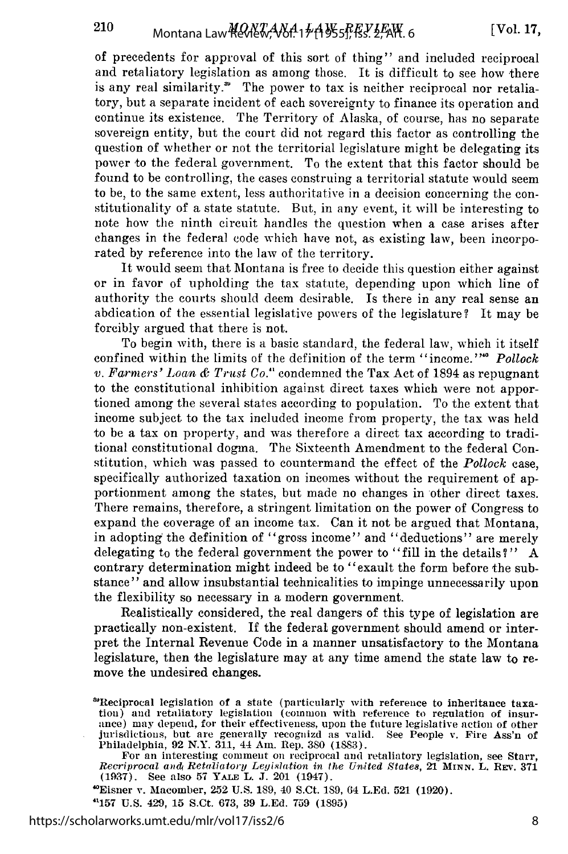of precedents for approval of this sort of thing" and included reciprocal and retaliatory legislation as among those. It is difficult to see how there is any real similarity.<sup>\*</sup> The power to tax is neither reciprocal nor retaliatory, but a separate incident of each sovereignty to finance its operation and continue its existence. The Territory of Alaska, of course, has no separate sovereign entity, but the court did not regard this factor as controlling the question of whether or not the territorial legislature might be delegating its power to the federal government. To the extent that this factor should be found to be controlling, the cases construing a territorial statute would seem to be, to the same extent, less authoritative in a decision concerning the constitutionality of a state statute. But, in any event, it will be interesting to note how the ninth circuit handles the question when a case arises after changes in the federal code which have not, as existing law, been incorporated by reference into the law of the territory.

It would seem that Montana is free to decide this question either against or in favor of upholding the tax statute, depending upon which line of authority the courts should deem desirable. Is there in any real sense an abdication of the essential legislative powers of the legislature? It may be forcibly argued that there is not.

To begin with, there is a basic standard, the federal law, which it itself confined within the limits of the definition of the term "income."<sup>"</sup> Pollock *v. Farmers' Loan & Trust Co."* condemned the Tax Act of 1894 as repugnant to the constitutional inhibition against direct taxes which were not apportioned among the several states according to population. To the extent that income subject to the tax included income from property, the tax was held to be a tax on property, and was therefore a direct tax according to traditional constitutional dogma. The Sixteenth Amendment to the federal Constitution, which was passed to countermand the effect of the *Pollock* case, specifically authorized taxation on incomes without the requirement of apportionment among the states, but made no changes in other direct taxes. There remains, therefore, a stringent limitation on the power of Congress to expand the coverage of an income tax. Can it not be argued that Montana, in adopting the definition of "gross income" and "deductions" are merely delegating to the federal government the power to "fill in the details?" A contrary determination might indeed be to "exault the form before the substance" and allow insubstantial technicalities to impinge unnecessarily upon the flexibility so necessary in a modern government.

Realistically considered, the real dangers of this type of legislation are practically non-existent. If the federal government should amend or interpret the Internal Revenue Code in a manner unsatisfactory to the Montana legislature, then the legislature may at any time amend the state law to remove the undesired changes.

For an interesting comment on reciprocal and retaliatory legislation, see Starr, *Recriprocal aii4* Retaliatory *Legislation in the United State8, 21* **MINN.** L. REV. **<sup>371</sup> (1937).** See also **57** YAT, L. **J.** 201 (1947).

"Eisner v. Macomber, **252 U.S. 189,** 40 S.Ct. **189,** 64 **L.Ed. 521** (1920).

**"157 U.S.** 429, **15** S.Ct. **673, 39 L.Ed. 759 (1895)**

https://scholarworks.umt.edu/mlr/vol17/iss2/6

<sup>&#</sup>x27;Reciprocal legislation of a state (particularly with reference to inheritance taxation) and retaliatory legislation (common with reference to regulation of insurance) may depend, for their effectiveness, upon the future legislative action of other jurisdictions, but are generally recognizd as valid. See People v. Fire Ass'n of Philadelphia, **92** N.Y. **311,** 44 **Am.** Rep. **380 (1883).**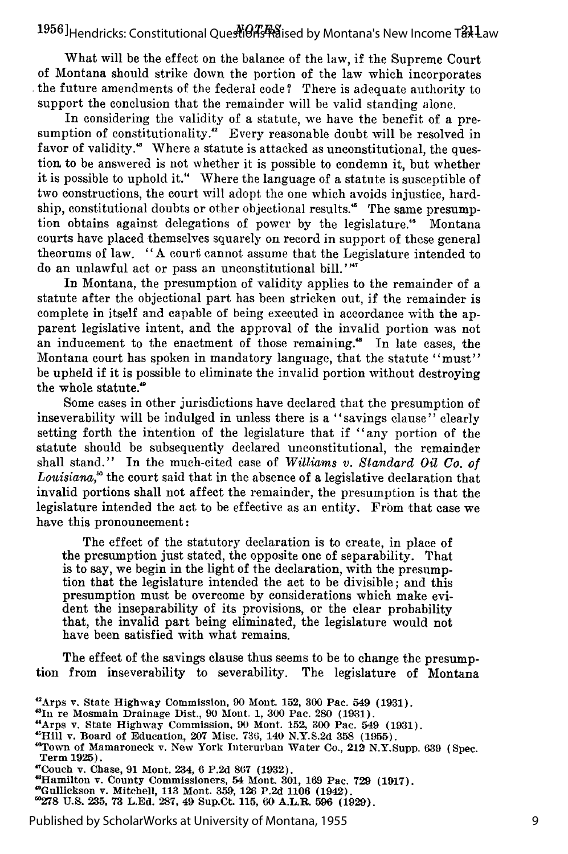What will be the effect on the balance of the law, if the Supreme Court of Montana should strike down the portion of the law which incorporates the future amendments of the federal code? There is adequate authority to support the conclusion that the remainder will be valid standing alone.

In considering the validity of a statute, we have the benefit of a presumption of constitutionality." Every reasonable doubt will be resolved in favor of validity.<sup>4</sup> Where a statute is attacked as unconstitutional, the question to be answered is not whether it is possible to condemn it, but whether it is possible to uphold it." Where the language of a statute is susceptible of two constructions, the court will adopt the one which avoids injustice, hardship, constitutional doubts or other objectional results.<sup>45</sup> The same presumption obtains against delegations of power by the legislature." Montana courts have placed themselves squarely on record in support of these general theorums of law. "A court cannot assume that the Legislature intended to do an unlawful act or pass an unconstitutional bill."<sup>"</sup>

In Montana, the presumption of validity applies to the remainder of a statute after the objectional part has been stricken out, if the remainder is complete in itself and capable of being executed in accordance with the apparent legislative intent, and the approval of the invalid portion was not an inducement to the enactment of those remaining." In late cases, the Montana court has spoken in mandatory language, that the statute "must" be upheld if it is possible to eliminate the invalid portion without destroying the whole statute."

Some cases in other jurisdictions have declared that the presumption of inseverability will be indulged in unless there is a "savings clause" clearly setting forth the intention of the legislature that if "any portion of the statute should be subsequently declared unconstitutional, the remainder shall stand." In the much-cited case of *Williams v. Standard Oil Co. of* Louisiana,<sup>80</sup> the court said that in the absence of a legislative declaration that invalid portions shall not affect the remainder, the presumption is that the legislature intended the act to be effective as an entity. From that case we have this pronouncement:

The effect of the statutory declaration is to create, in place of the presumption just stated, the opposite one of separability. That is to say, we begin in the light of the declaration, with the presumption that the legislature intended the act to be divisible; and this presumption must be overcome by considerations which make evident the inseparability of its provisions, or the clear probability that, the invalid part being eliminated, the legislature would not have been satisfied with what remains.

The effect of the savings clause thus seems to be to change the presumption from inseverability to severability. The legislature of Montana

- **"In** re **Mosmain** Drainage Dist., **90 Mont. 1, 300 Pac. 280 (1931).**
- "Arps v. State Highway Commission, **90** Mont. **152, 300** Pac. 549 **(1931).**
- **"Hill** v. Board of Education, **207** Misc. **736, 140 N.Y.S.2d 358 (1955).**
- "Town of Mamaroneck v. New York Interurban Water Co., 212 N.Y.Supp. **639** (Spec. Term **1925).** ' 7
- 
- Couch v. Chase, **91** Mont. 234, **6 P.2d 867 (1932).** 'Hamilton v. County Commissioners, 54 Mont. **301, 169** Pac. **729 (1917).**
- 
- "Gullickson v. Mitchell, **113** Mont. **359, 126 P.2d 1106** (1942). **"278 U.S. 235, 73 L.Ed. 287, 49** Sup.Ct. **115, 60** A.L.R. **596 (1929).**

Arps v. State Highway Commission, **90** Mont. **152, 300** Pac. **549 (1931).**